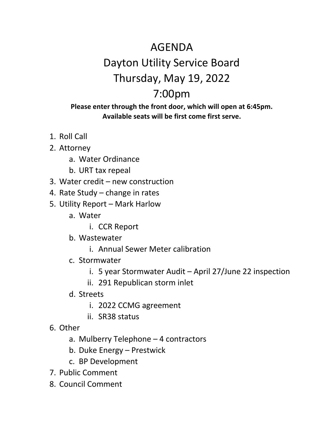## AGENDA Dayton Utility Service Board Thursday, May 19, 2022 7:00pm

## **Please enter through the front door, which will open at 6:45pm. Available seats will be first come first serve.**

- 1. Roll Call
- 2. Attorney
	- a. Water Ordinance
	- b. URT tax repeal
- 3. Water credit new construction
- 4. Rate Study change in rates
- 5. Utility Report Mark Harlow
	- a. Water
		- i. CCR Report
	- b. Wastewater
		- i. Annual Sewer Meter calibration
	- c. Stormwater
		- i. 5 year Stormwater Audit April 27/June 22 inspection
		- ii. 291 Republican storm inlet
	- d. Streets
		- i. 2022 CCMG agreement
		- ii. SR38 status
- 6. Other
	- a. Mulberry Telephone 4 contractors
	- b. Duke Energy Prestwick
	- c. BP Development
- 7. Public Comment
- 8. Council Comment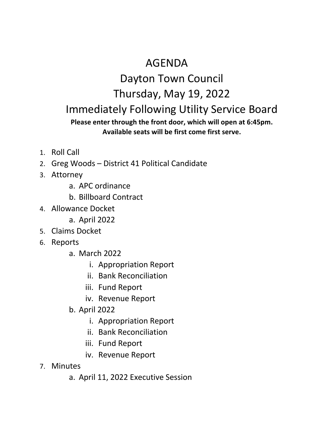## AGENDA

## Dayton Town Council Thursday, May 19, 2022 Immediately Following Utility Service Board **Please enter through the front door, which will open at 6:45pm.**

- **Available seats will be first come first serve.**
- 1. Roll Call
- 2. Greg Woods District 41 Political Candidate
- 3. Attorney
	- a. APC ordinance
	- b. Billboard Contract
- 4. Allowance Docket
	- a. April 2022
- 5. Claims Docket
- 6. Reports
	- a. March 2022
		- i. Appropriation Report
		- ii. Bank Reconciliation
		- iii. Fund Report
		- iv. Revenue Report
	- b. April 2022
		- i. Appropriation Report
		- ii. Bank Reconciliation
		- iii. Fund Report
		- iv. Revenue Report
- 7. Minutes
	- a. April 11, 2022 Executive Session